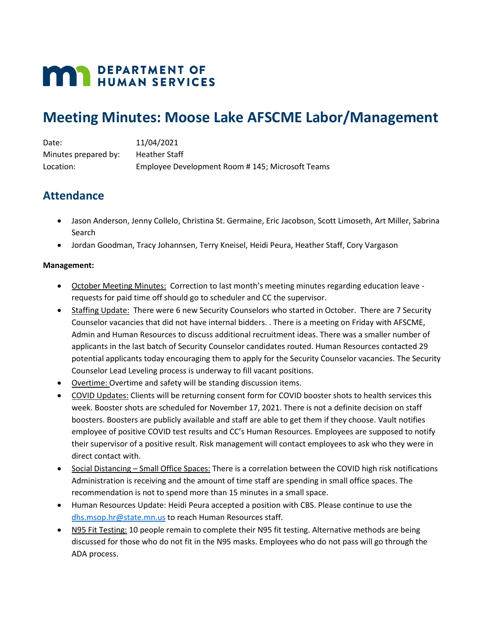# **MAY DEPARTMENT OF HUMAN SERVICES**

## **Meeting Minutes: Moose Lake AFSCME Labor/Management**

| Date:                | 11/04/2021                                      |
|----------------------|-------------------------------------------------|
| Minutes prepared by: | Heather Staff                                   |
| Location:            | Employee Development Room #145; Microsoft Teams |

## **Attendance**

- Jason Anderson, Jenny Collelo, Christina St. Germaine, Eric Jacobson, Scott Limoseth, Art Miller, Sabrina Search
- Jordan Goodman, Tracy Johannsen, Terry Kneisel, Heidi Peura, Heather Staff, Cory Vargason

### **Management:**

- October Meeting Minutes: Correction to last month's meeting minutes regarding education leave requests for paid time off should go to scheduler and CC the supervisor.
- Staffing Update: There were 6 new Security Counselors who started in October. There are 7 Security Counselor vacancies that did not have internal bidders. . There is a meeting on Friday with AFSCME, Admin and Human Resources to discuss additional recruitment ideas. There was a smaller number of applicants in the last batch of Security Counselor candidates routed. Human Resources contacted 29 potential applicants today encouraging them to apply for the Security Counselor vacancies. The Security Counselor Lead Leveling process is underway to fill vacant positions.
- Overtime: Overtime and safety will be standing discussion items.
- COVID Updates: Clients will be returning consent form for COVID booster shots to health services this week. Booster shots are scheduled for November 17, 2021. There is not a definite decision on staff boosters. Boosters are publicly available and staff are able to get them if they choose. Vault notifies employee of positive COVID test results and CC's Human Resources. Employees are supposed to notify their supervisor of a positive result. Risk management will contact employees to ask who they were in direct contact with.
- Social Distancing Small Office Spaces: There is a correlation between the COVID high risk notifications Administration is receiving and the amount of time staff are spending in small office spaces. The recommendation is not to spend more than 15 minutes in a small space.
- Human Resources Update: Heidi Peura accepted a position with CBS. Please continue to use the [dhs.msop.hr@state.mn.us](mailto:dhs.msop.hr@state.mn.us) to reach Human Resources staff.
- N95 Fit Testing: 10 people remain to complete their N95 fit testing. Alternative methods are being discussed for those who do not fit in the N95 masks. Employees who do not pass will go through the ADA process.